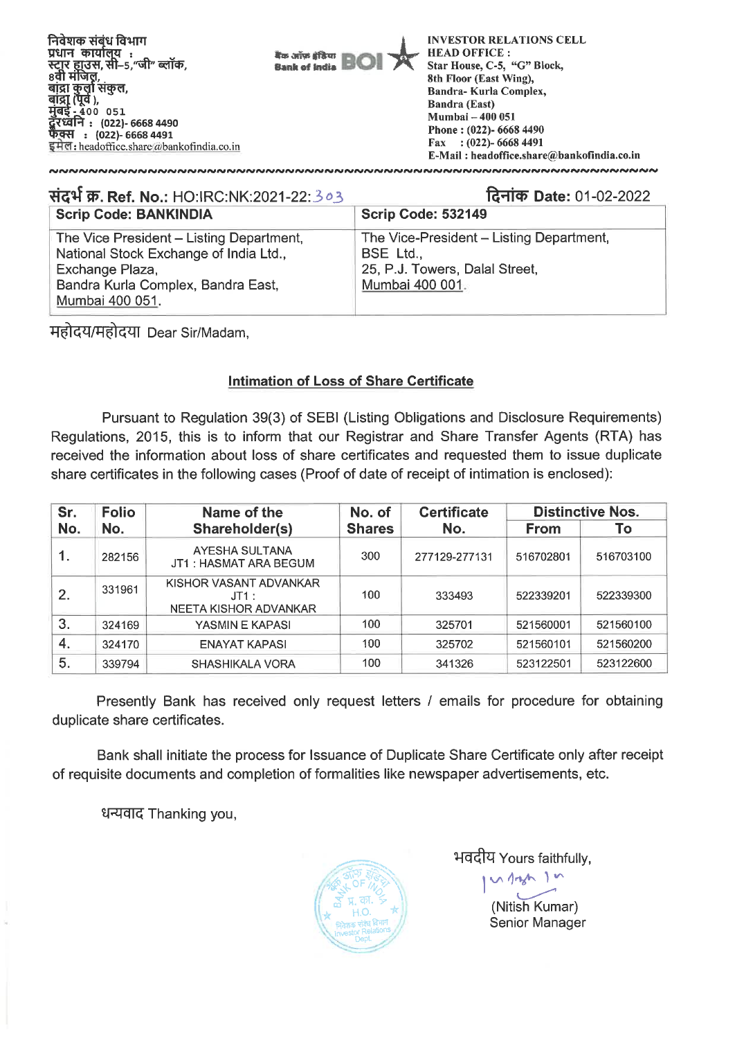

| संदर्भ क्र. Ref. No.: HO:IRC:NK:2021-22:303                                                                                                                    | दिनांक Date: 01-02-2022                                                                                    |
|----------------------------------------------------------------------------------------------------------------------------------------------------------------|------------------------------------------------------------------------------------------------------------|
| <b>Scrip Code: BANKINDIA</b>                                                                                                                                   | <b>Scrip Code: 532149</b>                                                                                  |
| The Vice President - Listing Department,<br>National Stock Exchange of India Ltd.,<br>Exchange Plaza,<br>Bandra Kurla Complex, Bandra East,<br>Mumbai 400 051. | The Vice-President - Listing Department,<br>BSE Ltd.,<br>25, P.J. Towers, Dalal Street,<br>Mumbai 400 001. |

महोदय/महोदया Dear Sir/Madam,

## **Intimation of Loss of Share Certificate**

Pursuant to Regulation 39(3) of SEBI (Listing Obligations and Disclosure Requirements) Regulations, 2015, this is to inform that our Registrar and Share Transfer Agents (RTA) has received the information about loss of share certificates and requested them to issue duplicate share certificates in the following cases (Proof of date of receipt of intimation is enclosed):

| Sr. | <b>Folio</b> | Name of the                                                 | No. of        | <b>Certificate</b> |             | <b>Distinctive Nos.</b> |
|-----|--------------|-------------------------------------------------------------|---------------|--------------------|-------------|-------------------------|
| No. | No.          | Shareholder(s)                                              | <b>Shares</b> | No.                | <b>From</b> | To                      |
| 1.  | 282156       | AYESHA SULTANA<br>JT1: HASMAT ARA BEGUM                     | 300           | 277129-277131      | 516702801   | 516703100               |
| 2.  | 331961       | KISHOR VASANT ADVANKAR<br>$J$ T1 :<br>NEETA KISHOR ADVANKAR | 100           | 333493             | 522339201   | 522339300               |
| 3.  | 324169       | YASMIN E KAPASI                                             | 100           | 325701             | 521560001   | 521560100               |
| 4.  | 324170       | ENAYAT KAPASI                                               | 100           | 325702             | 521560101   | 521560200               |
| 5.  | 339794       | SHASHIKALA VORA                                             | 100           | 341326             | 523122501   | 523122600               |

Presently Bank has received only request letters / emails for procedure for obtaining duplicate share certificates.

Bank shall initiate the process for Issuance of Duplicate Share Certificate only after receipt of requisite documents and completion of formalities like newspaper advertisements, etc.

धन्यवाद Thanking you,



भवदीय Yours faithfully,

 $N$  1420

 $\overline{\mathbf{I}}$ (Nitish Kumar) Senior Manager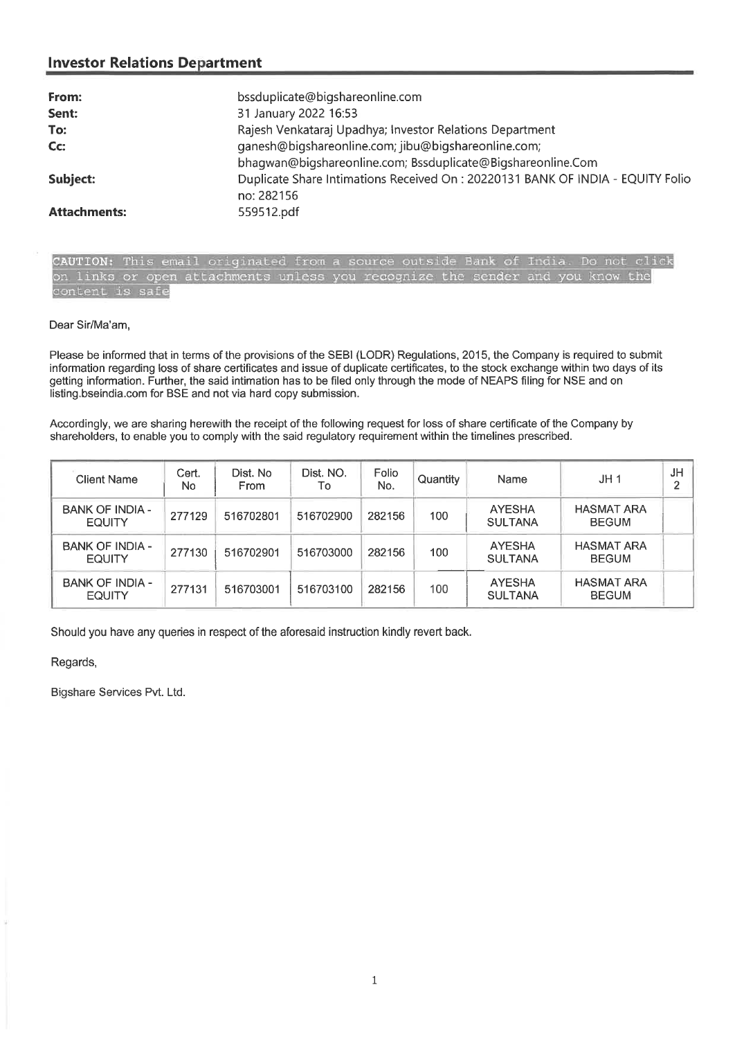| From:               | bssduplicate@bigshareonline.com                                                 |
|---------------------|---------------------------------------------------------------------------------|
| Sent:               | 31 January 2022 16:53                                                           |
| To:                 | Rajesh Venkataraj Upadhya; Investor Relations Department                        |
| Cc:                 | ganesh@bigshareonline.com; jibu@bigshareonline.com;                             |
|                     | bhaqwan@biqshareonline.com; Bssduplicate@Biqshareonline.Com                     |
| Subject:            | Duplicate Share Intimations Received On : 20220131 BANK OF INDIA - EQUITY Folio |
|                     | no: 282156                                                                      |
| <b>Attachments:</b> | 559512.pdf                                                                      |

CAUTION: This email originated from a source outside Bank of India. Do not click on links or open attachments unless you recognize the sender and you know the content is safe

#### Dear Sir/Ma'am,

Please be informed that in terms of the provisions of the SEBI (LODR) Regulations, 2015, the Company is required to submit information regarding loss of share certificates and issue of duplicate certificates, to the stock exchange within two days of its getting information. Further, the said intimation has to be filed only through the mode of NEAPS filing for NSE and on listing.bseindia.com for BSE and not via hard copy submission.

Accordingly, we are sharing herewith the receipt of the following request for loss of share certificate of the Company by shareholders, to enable you to comply with the said regulatory requirement within the timelines prescribed.

| <b>Client Name</b>                      | Cert.<br>No | Dist. No<br><b>From</b> | Dist. NO.<br>To | Folio<br>No. | Quantity | Name                            | JH1                               | JH<br>≘ |
|-----------------------------------------|-------------|-------------------------|-----------------|--------------|----------|---------------------------------|-----------------------------------|---------|
| <b>BANK OF INDIA -</b><br><b>EQUITY</b> | 277129      | 516702801               | 516702900       | 282156       | 100      | <b>AYESHA</b><br><b>SULTANA</b> | <b>HASMAT ARA</b><br><b>BEGUM</b> |         |
| <b>BANK OF INDIA -</b><br><b>EQUITY</b> | 277130      | 516702901               | 516703000       | 282156       | 100      | <b>AYESHA</b><br><b>SULTANA</b> | <b>HASMAT ARA</b><br><b>BEGUM</b> |         |
| <b>BANK OF INDIA -</b><br><b>EQUITY</b> | 277131      | 516703001               | 516703100       | 282156       | 100      | <b>AYESHA</b><br><b>SULTANA</b> | <b>HASMAT ARA</b><br><b>BEGUM</b> |         |

Should you have any queries in respect of the aforesaid instruction kindly revert back.

Regards,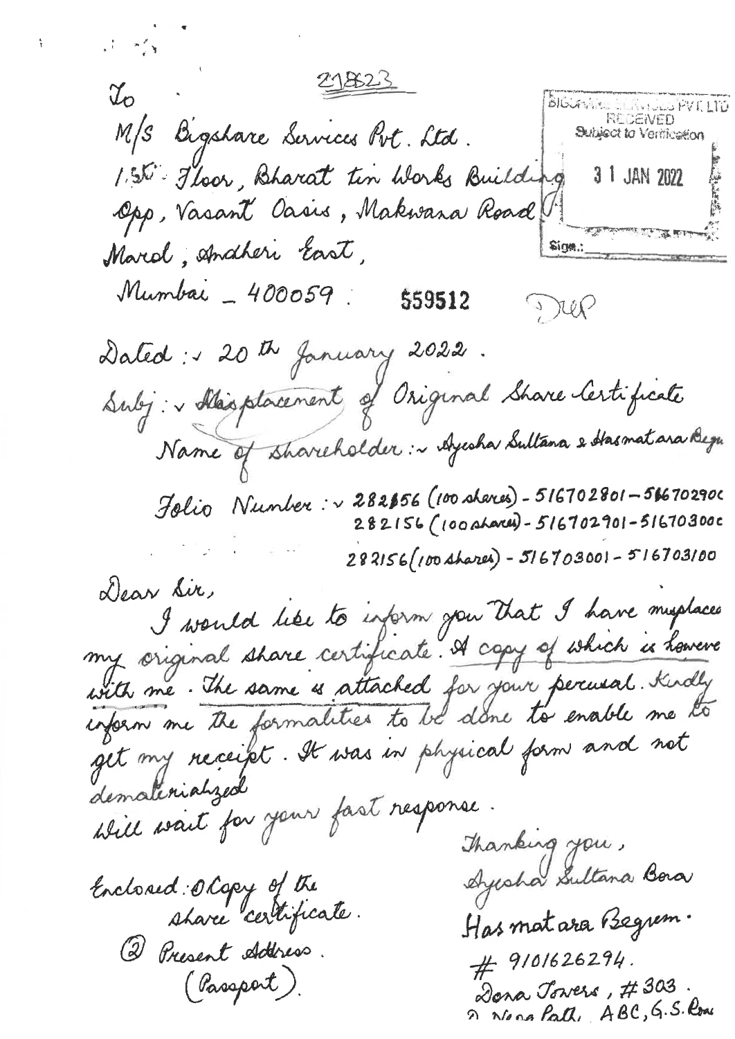$\frac{1}{\sqrt{2}}\left(1-\frac{1}{\sqrt{2}}\right)\frac{d^2\phi}{d\phi^2}\frac{d\phi}{d\phi^2}.$ 218623  $\mathcal{I}_o$ **BIGUANISM ELITY LOCUPVILLTD** M/S Bigshare Services Pvt. Ltd. Subject to Verification 155 Floor, Bharat tin Works Building 3 1 JAN 2022 Opp, Vasant Oasis, Makwara Road the moment of the state Marcol, Anatheri East, Sign.: Mumbai - 400059. 559512 Dup Dated: 120th January 2022. Subj: Masphacement of Original Share Certificate Name of shareholder: ~ Ayesha Sultana & Hasmatara Begu Jolio Number: v 282856 (100 shares) - 516702801-516702900 282156 (100 shares) - 516702901 - 51670300c 282156 (100 shares) - 516703001 - 516703100 Dear Sir, I would like to inform you that I have myslaces my original share certificate. A copy of which is however with me. The same is attached for your percusal. Kindly<br>inform me the formalities to be done to enable me to get my neceipt. It was in physical form and not dematerialized Will wait for your fast response. Thanking you, Ayesha Sultana Bora Enclosed Olopy of the share certificate. Has mat ara Begren. (2) Present Aderess.  $#$  9/01626294. (Passport). Dona Jowers, #303. 2 No an Path, ABC, G.S. Rome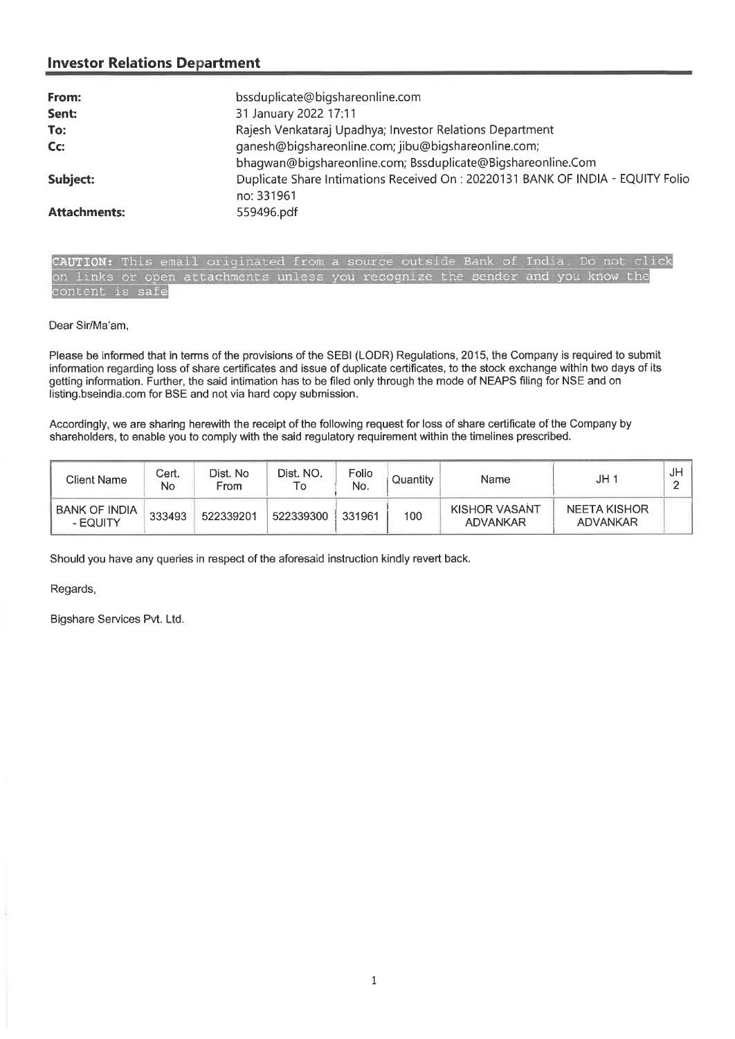| From:               | bssduplicate@bigshareonline.com                                                 |
|---------------------|---------------------------------------------------------------------------------|
| Sent:               | 31 January 2022 17:11                                                           |
| To:                 | Rajesh Venkataraj Upadhya; Investor Relations Department                        |
| Cc:                 | ganesh@bigshareonline.com; jibu@bigshareonline.com;                             |
|                     | bhaqwan@biqshareonline.com; Bssduplicate@Bigshareonline.Com                     |
| Subject:            | Duplicate Share Intimations Received On : 20220131 BANK OF INDIA - EQUITY Folio |
|                     | no: 331961                                                                      |
| <b>Attachments:</b> | 559496.pdf                                                                      |

CAUTION: This email originated from a source outside Bank of India. Do not click on links or open attachments unless you recognize the sender and you know the content is safe

#### Dear Sir/Ma'am,

Please be informed that in terms of the provisions of the SEBI (LODR) Regulations, 2015, the Company is required to submit information regarding loss of share certificates and issue of duplicate certificates, to the stock exchange within two days of its getting information. Further, the said intimation has to be filed only through the mode of NEAPS filing for NSE and on listing.bseindia.com for BSE and not via hard copy submission.

Accordingly, we are sharing herewith the receipt of the following request for loss of share certificate of the Company by shareholders, to enable you to comply with the said regulatory requirement within the timelines prescribed.

| <b>Client Name</b>               | Cert.<br>No | Dist. No<br>From | Dist. NO.<br>۱o | Folio<br>No. | Quantity | Name                             | JH 1                     | J۲ |
|----------------------------------|-------------|------------------|-----------------|--------------|----------|----------------------------------|--------------------------|----|
| <b>BANK OF INDIA</b><br>- EQUITY | 333493      | 522339201        | 522339300       | 331961       | 100      | <b>KISHOR VASANT</b><br>ADVANKAR | NEETA KISHOR<br>ADVANKAR |    |

Should you have any queries in respect of the aforesaid instruction kindly revert back.

Regards,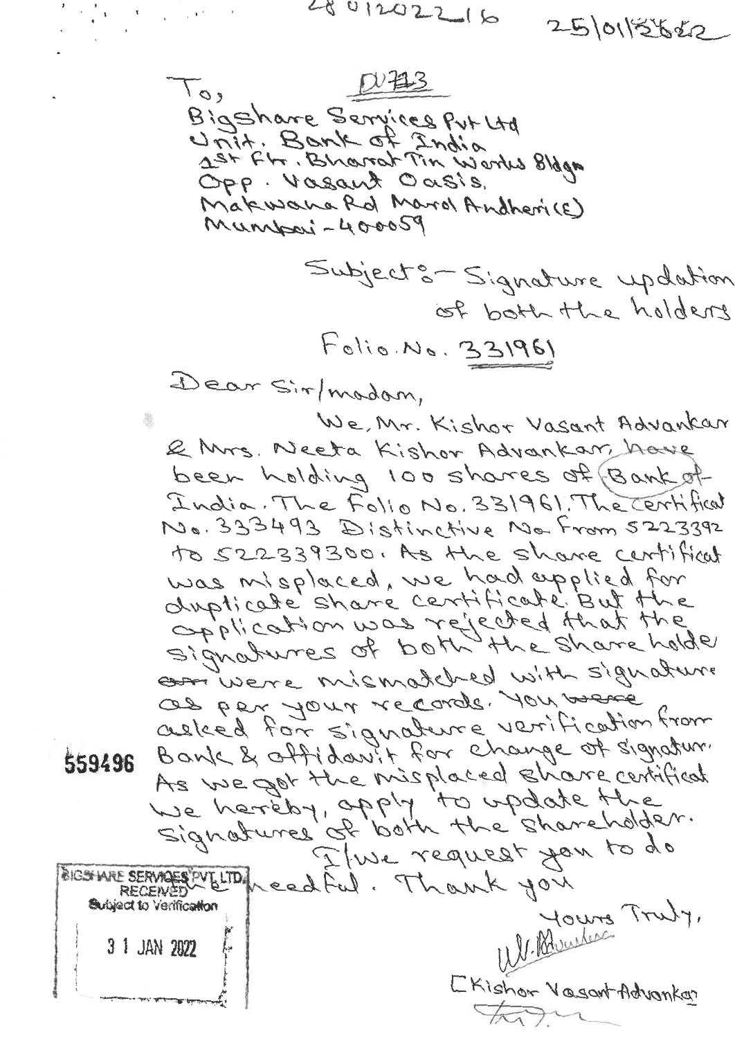$\mathcal{F}=\frac{1}{\sqrt{2}}\left(\mathbf{y}_{1},\mathbf{y}_{2},\ldots,\mathbf{y}_{n}\right)\mathbf{y}_{n}\mathbf{y}_{n}\mathbf{y}_{n}$  $401202216$ 25/01/2622  $D$   $#3$  $10,$ Bigshare Services Put Ltd 1st Fh. Bharat Tin Works Bldga Opp. Vasant Oasis. Makwana Rd Marol Andherice) Munisci - 400059 Subject : Signature updation of both the holders Folio. No. 331961 Dear Sir/modom, We, Mr. Kishor Vasant Advankar & Mrs. Neeta Kishor Advankar, have been holding 100 shares of Bank of India. The Folio No. 331961. The Certifical No. 333493 Distinctive No From 5223392 to 522339300. As the share certificat was misplaced, we had applied for<br>dupticate share certificate But the<br>opplication was rejected that the commune mismatched with signature OB Per Jour records, 101 mere adleed for signature verification from Bank & offidanit for change of signatur. As we got the misplaced share certificat I we request you to do BIGSTARE SERVAGES PV LITO / each ful. Thank you Willweles Truty, Subject to Verification 3 1 JAN 2022 [Kishon Vasant Advankar ton

559496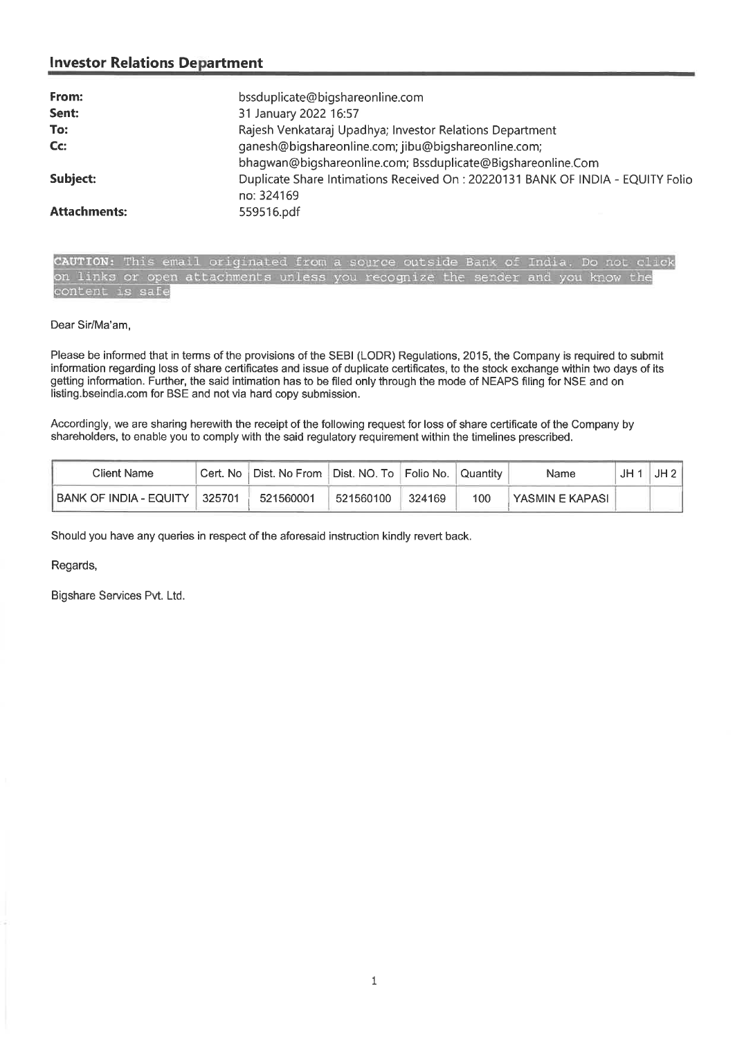| From:               | bssduplicate@bigshareonline.com                                                |
|---------------------|--------------------------------------------------------------------------------|
| Sent:               | 31 January 2022 16:57                                                          |
| To:                 | Rajesh Venkataraj Upadhya; Investor Relations Department                       |
| Cc:                 | ganesh@bigshareonline.com; jibu@bigshareonline.com;                            |
|                     | bhagwan@bigshareonline.com; Bssduplicate@Bigshareonline.Com                    |
| Subject:            | Duplicate Share Intimations Received On: 20220131 BANK OF INDIA - EQUITY Folio |
|                     | no: 324169                                                                     |
| <b>Attachments:</b> | 559516.pdf                                                                     |

**TION:** This email originated from a source outside Bank of In on links or open attachments unless you recognize the sender and you know the content is safe

#### Dear Sir/Ma'am,

Please be informed that in terms of the provisions of the SEBI (LODR) Regulations, 2015, the Company is required to submit information regarding loss of share certificates and issue of duplicate certificates, to the stock exchange within two days of its getting information. Further, the said intimation has to be filed only through the mode of NEAPS filing for NSE and on listing.bseindia.com for BSE and not via hard copy submission.

Accordingly, we are sharing herewith the receipt of the following request for loss of share certificate of the Company by shareholders, to enable you to comply with the said regulatory requirement within the timelines prescribed.

| Client Name            |        | Cert. No   Dist. No From | ∣ Dist. NO. To ∣Folio No. |        | Quantity | Name            | JH | JH2 |
|------------------------|--------|--------------------------|---------------------------|--------|----------|-----------------|----|-----|
| BANK OF INDIA - EQUITY | 325701 | 521560001                | 521560100                 | 324169 | 100      | YASMIN E KAPASI |    |     |

Should you have any queries in respect of the aforesaid instruction kindly revert back.

Regards,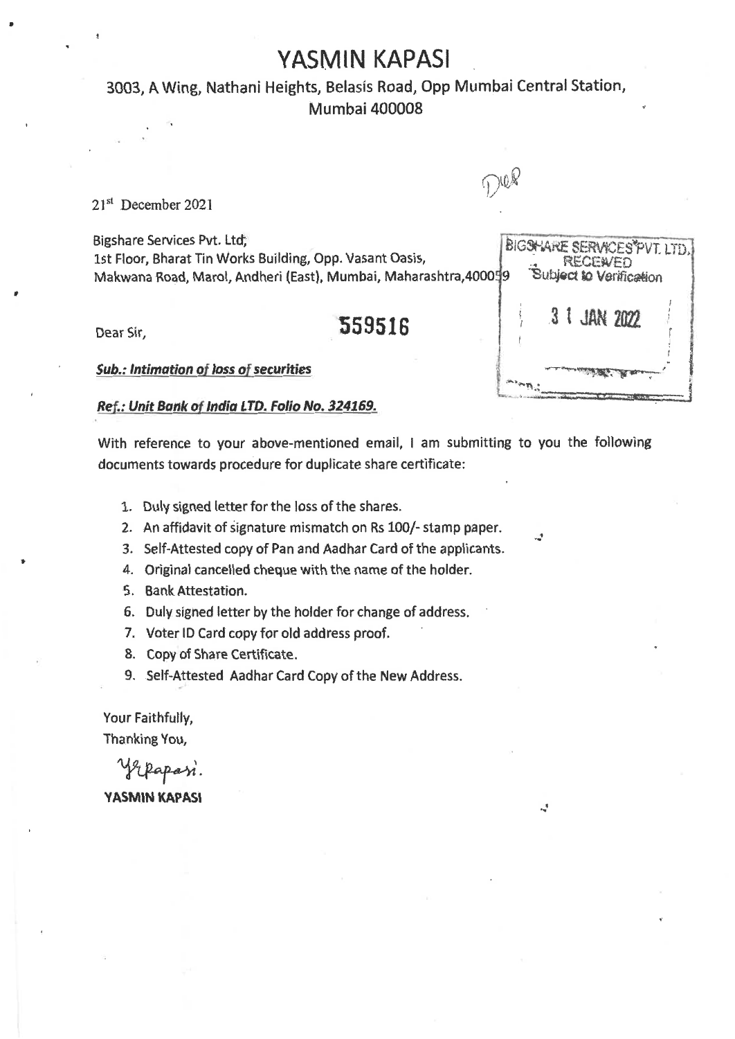## **YASMIN KAPASI**

## 3003, A Wing, Nathani Heights, Belasis Road, Opp Mumbal Central Station, Mumbai 400008

21<sup>st</sup> December 2021

Bigshare Services Pvt. Ltd, biG5Keirte Seirte Services Pvt. Ltd, bigshare Services Pvt. Italiang, Opp. Vasant Oasis, Makwana Road, Marol, Andheri (East), Mumbai, Maharashtra,400

Dear Sir, **559516** 

*Sub.: Intimation of loss of securities* 

#### *Ref.: Unit Bank of India LTD. Folio No. 324169.*

With reference to your above-mentioned email, I am submitting to you the following documents towards procedure for duplicate share certificate:

- 1. Duly signed letter for the loss of the shares.
- 2. An affidavit of Signature mismatch on Rs 100/- stamp paper.
- 3. Self-Attested copy of Pan and Aadhar Card of the applicants.
- 4. Original cancelled cheque with the name of the holder.
- 5. Bank Attestation.
- 6. Duly signed letter by the holder for change of address.
- 7. Voter ID Card copy for old address proof.
- 8. Copy of Share Certificate.
- 9. Self-Attested Aadhar Card Copy of the New Address.

Your Faithfully, Thanking You,

yepapasi. **YASMIN KAPASI** 

| )059 |  | <b>RECEWED</b> | BIGSHARE SERVICES PVT. LTD.<br>Subject to Verification |  |
|------|--|----------------|--------------------------------------------------------|--|
|      |  | 3 JAN 2022     |                                                        |  |
|      |  |                |                                                        |  |

 $\mathcal{L}$ 

 $\frac{1}{2}$ 

DOR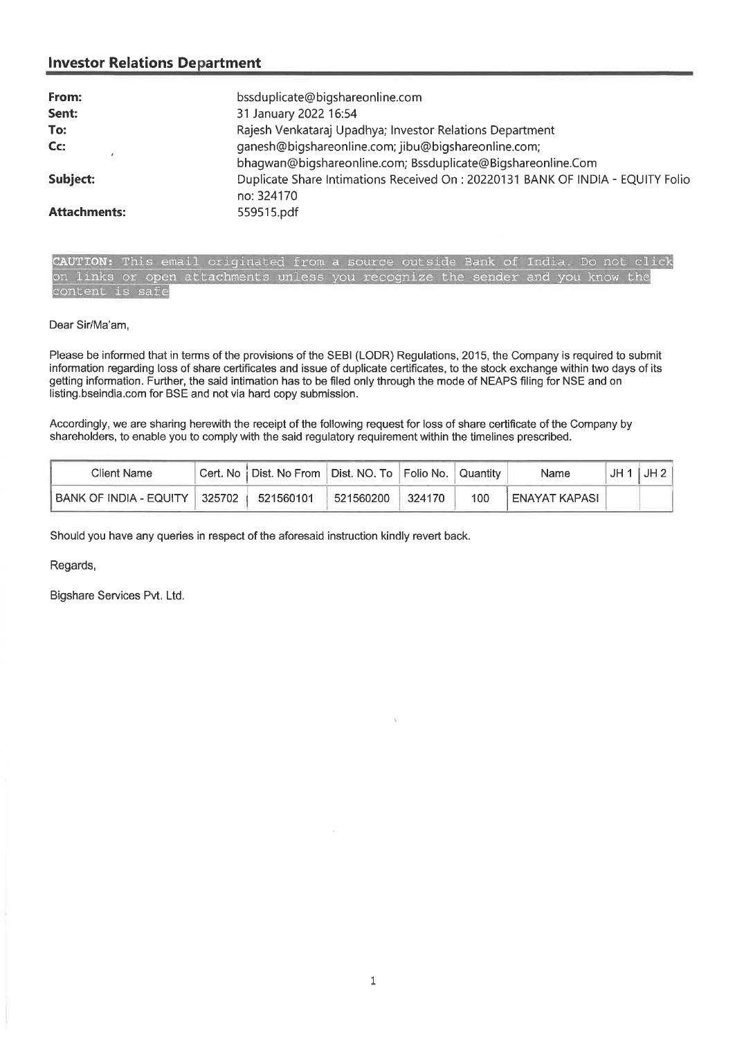| From:               | bssduplicate@bigshareonline.com                                                              |
|---------------------|----------------------------------------------------------------------------------------------|
| Sent:               | 31 January 2022 16:54                                                                        |
| To:                 | Rajesh Venkataraj Upadhya; Investor Relations Department                                     |
| Cc:                 | ganesh@bigshareonline.com; jibu@bigshareonline.com;                                          |
|                     | bhagwan@bigshareonline.com; Bssduplicate@Bigshareonline.Com                                  |
| Subject:            | Duplicate Share Intimations Received On: 20220131 BANK OF INDIA - EQUITY Folio<br>no: 324170 |
| <b>Attachments:</b> | 559515.pdf                                                                                   |

CAUTION: This email originated from a source outside Bank of India. Do not click on links or open attachments unless you recognize the sender and you know the content is safe

Dear Sir/Ma'am,

Please be informed that in terms of the provisions of the SEBI (LODR) Regulations, 2015, the Company is required to submit information regarding loss of share certificates and issue of duplicate certificates, to the stock exchange within two days of its getting information. Further, the said intimation has to be filed only through the mode of NEAPS filing for NSE and on listing.bseindia.com for BSE and not via hard copy submission.

Accordingly, we are sharing herewith the receipt of the following request for loss of share certificate of the Company by shareholders, to enable you to comply with the said regulatory requirement within the timelines prescribed.

| Client Name                        | Cert. No   Dist. No From   Dist. NO. To   Folio No. |           |        | Quantity | Name          | JH 1 | JH 2 |
|------------------------------------|-----------------------------------------------------|-----------|--------|----------|---------------|------|------|
| i BANK OF INDIA - EQUITY ∥325702 ∣ | 521560101                                           | 521560200 | 324170 | 100      | ENAYAT KAPASI |      |      |

Should you have any queries in respect of the aforesaid instruction kindly revert back.

Regards,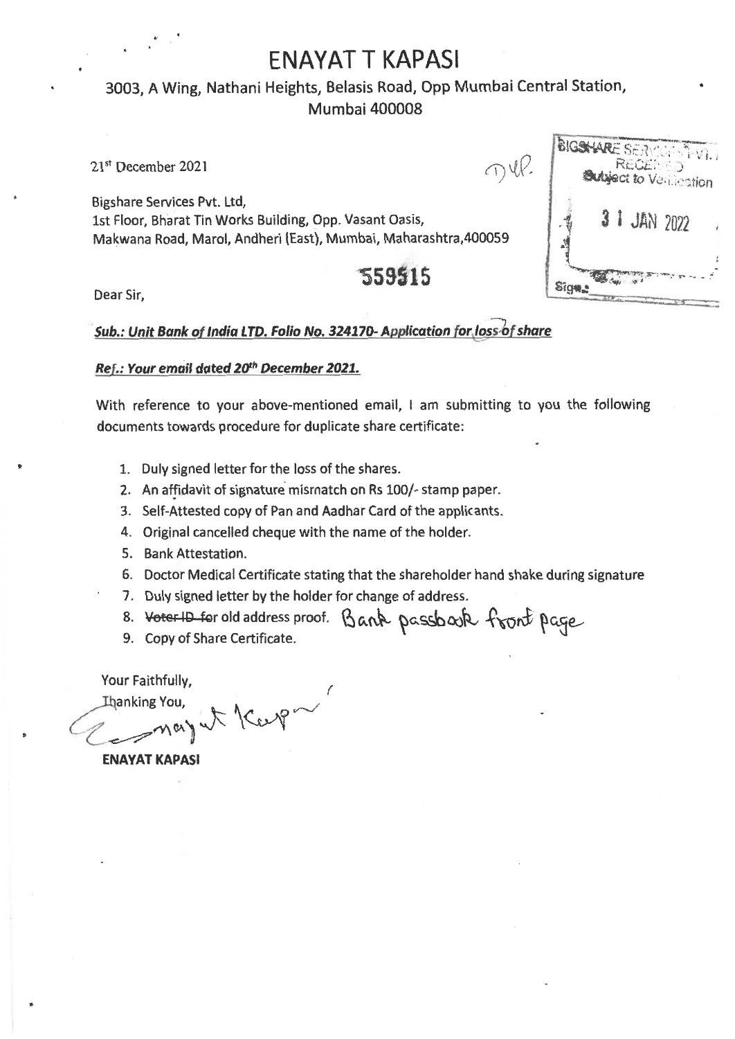## **ENAYAT T KAPASI**

## • 3003, A Wing, Nathani Heights, Belasis Road, Opp Mumbai Central Station, Mumbai 400008

21" December 2021

 $\neg \Psi$ 

 $\sqrt{2}$ 

Bigshare Services Pvt. Ltd, 1st Floor, Bharat Tin Works Building, Opp. Vasant Oasis, Makwana Road, Marol, Andheri (East), Mumbai, Maharashtra,400059

# **<sup>1</sup>559515**

|     | RECEMED    | <b>Subject to Ventionation</b> |  |
|-----|------------|--------------------------------|--|
|     | 3 JAN 2022 |                                |  |
| Sig |            |                                |  |

Dear Sir,

## *Sub.: Unit Bank of India LTD. Folio No. 324170- Application for loss***,***bf share*

### *Ref.: Your email dated 20th December 2021.*

With reference to your above-mentioned email, I am submitting to you the following documents towards procedure for duplicate share certificate:

- 1. Duly signed letter for the loss of the shares.
- 2. An affidavit of signature mismatch on Rs 100/- stamp paper.
- 3. Self-Attested copy of Pan and Aadhar Card of the applicants.
- 4. Original cancelled cheque with the name of the holder.
- 5. Bank Attestation.
- 6. Doctor Medical Certificate stating that the shareholder hand shake during signature
- 7. Duly signed letter by the holder for change of address.
- 8. Voter-10 for old address proof. Bank passbook front page
- 9. Copy of Share Certificate.

Your Faithfully,

Hanking You,<br>May ut Kcep

ENAYAT KAPASI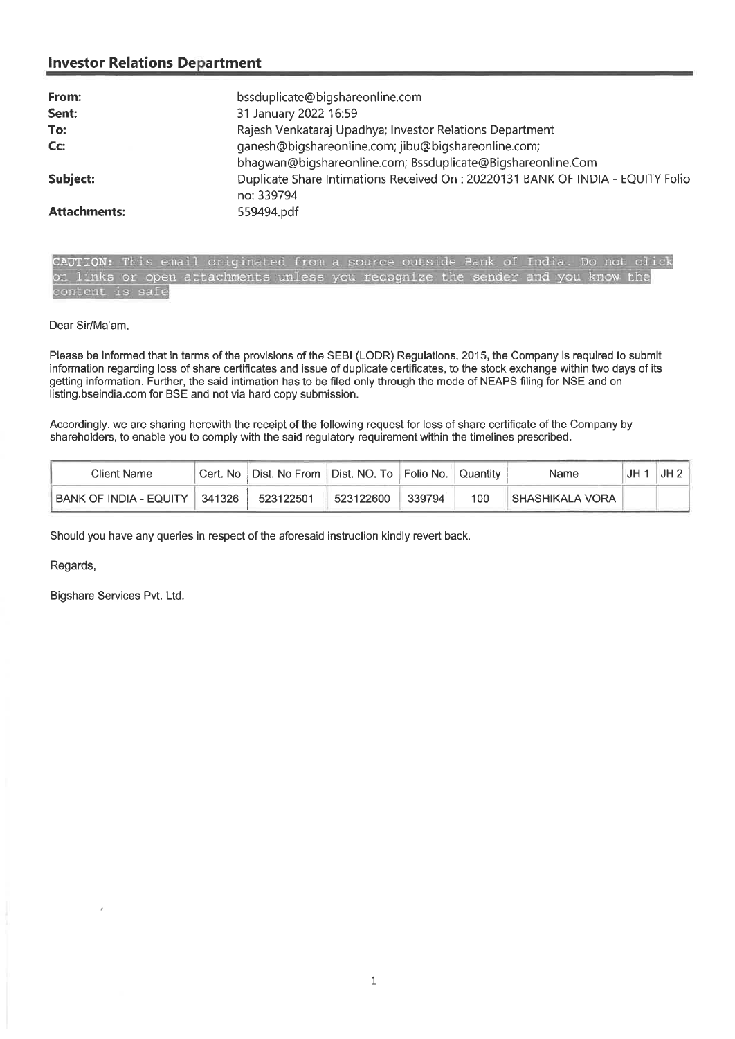| From:               | bssduplicate@bigshareonline.com                                                 |
|---------------------|---------------------------------------------------------------------------------|
| Sent:               | 31 January 2022 16:59                                                           |
| To:                 | Rajesh Venkataraj Upadhya; Investor Relations Department                        |
| Cc:                 | ganesh@bigshareonline.com; jibu@bigshareonline.com;                             |
|                     | bhaqwan@biqshareonline.com; Bssduplicate@Bigshareonline.Com                     |
| Subject:            | Duplicate Share Intimations Received On : 20220131 BANK OF INDIA - EQUITY Folio |
|                     | no: 339794                                                                      |
| <b>Attachments:</b> | 559494.pdf                                                                      |

CAUTION: This email originated from a source outside Bank of India. Do not click on links or open attachments unless you recognize the sender and you know the content is safe

#### Dear Sir/Ma'am,

Please be informed that in terms of the provisions of the SEBI (LODR) Regulations, 2015, the Company is required to submit information regarding loss of share certificates and issue of duplicate certificates, to the stock exchange within two days of its getting information. Further, the said intimation has to be filed only through the mode of NEAPS filing for NSE and on listing.bseindia.com for BSE and not via hard copy submission.

Accordingly, we are sharing herewith the receipt of the following request for loss of share certificate of the Company by shareholders, to enable you to comply with the said regulatory requirement within the timelines prescribed.

| Client Name            | Cert. No | Dist. No From | ∣ Dist. NO. To ∣Folio No. I |        | Quantity | Name              | JH | JH2 |
|------------------------|----------|---------------|-----------------------------|--------|----------|-------------------|----|-----|
| BANK OF INDIA - EQUITY | 341326   | 523122501     | 523122600                   | 339794 | 100      | I SHASHIKALA VORA |    |     |

Should you have any queries in respect of the aforesaid instruction kindly revert back.

Regards,